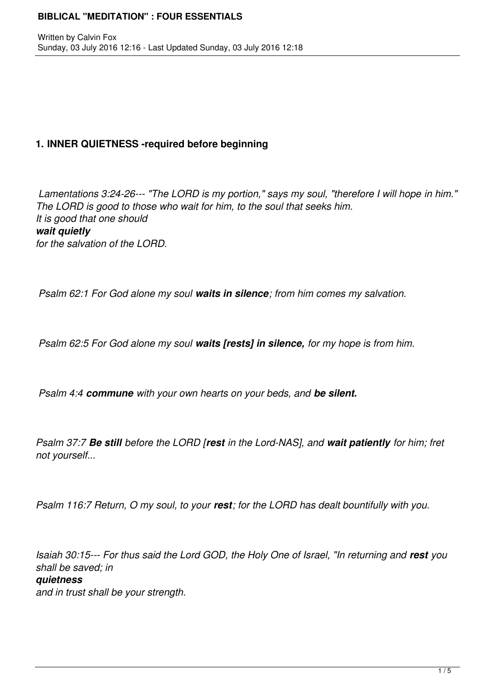## **1. INNER QUIETNESS -required before beginning**

*Lamentations 3:24-26--- "The LORD is my portion," says my soul, "therefore I will hope in him." The LORD is good to those who wait for him, to the soul that seeks him. It is good that one should wait quietly for the salvation of the LORD.* 

*Psalm 62:1 For God alone my soul waits in silence; from him comes my salvation.*

*Psalm 62:5 For God alone my soul waits [rests] in silence, for my hope is from him.*

*Psalm 4:4 commune with your own hearts on your beds, and be silent.* 

*Psalm 37:7 Be still before the LORD [rest in the Lord-NAS], and wait patiently for him; fret not yourself...* 

*Psalm 116:7 Return, O my soul, to your rest; for the LORD has dealt bountifully with you.* 

*Isaiah 30:15--- For thus said the Lord GOD, the Holy One of Israel, "In returning and rest you shall be saved; in quietness and in trust shall be your strength.*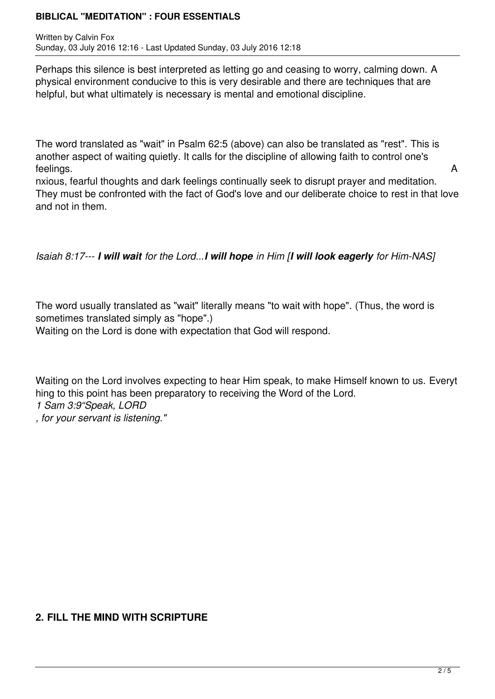Written by Calvin Fox Sunday, 03 July 2016 12:16 - Last Updated Sunday, 03 July 2016 12:18

Perhaps this silence is best interpreted as letting go and ceasing to worry, calming down. A physical environment conducive to this is very desirable and there are techniques that are helpful, but what ultimately is necessary is mental and emotional discipline.

The word translated as "wait" in Psalm 62:5 (above) can also be translated as "rest". This is another aspect of waiting quietly. It calls for the discipline of allowing faith to control one's feelings. A

nxious, fearful thoughts and dark feelings continually seek to disrupt prayer and meditation. They must be confronted with the fact of God's love and our deliberate choice to rest in that love and not in them.

*Isaiah 8:17--- I will wait for the Lord...I will hope in Him [I will look eagerly for Him-NAS]*

The word usually translated as "wait" literally means "to wait with hope". (Thus, the word is sometimes translated simply as "hope".)

Waiting on the Lord is done with expectation that God will respond.

Waiting on the Lord involves expecting to hear Him speak, to make Himself known to us. Everyt hing to this point has been preparatory to receiving the Word of the Lord. *1 Sam 3:9"Speak, LORD*

*, for your servant is listening."* 

### **2. FILL THE MIND WITH SCRIPTURE**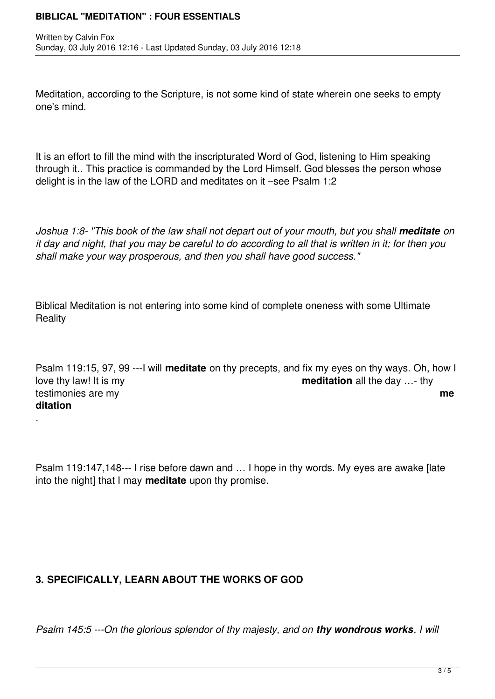Meditation, according to the Scripture, is not some kind of state wherein one seeks to empty one's mind.

It is an effort to fill the mind with the inscripturated Word of God, listening to Him speaking through it.. This practice is commanded by the Lord Himself. God blesses the person whose delight is in the law of the LORD and meditates on it –see Psalm 1:2

*Joshua 1:8- "This book of the law shall not depart out of your mouth, but you shall meditate on it day and night, that you may be careful to do according to all that is written in it; for then you shall make your way prosperous, and then you shall have good success."*

Biblical Meditation is not entering into some kind of complete oneness with some Ultimate **Reality** 

Psalm 119:15, 97, 99 ---I will **meditate** on thy precepts, and fix my eyes on thy ways. Oh, how I love thy law! It is my **meditation** all the day …- thy testimonies are my **me ditation**

Psalm 119:147,148--- I rise before dawn and … I hope in thy words. My eyes are awake [late into the night] that I may **meditate** upon thy promise.

# **3. SPECIFICALLY, LEARN ABOUT THE WORKS OF GOD**

.

*Psalm 145:5 ---On the glorious splendor of thy majesty, and on <i>thy wondrous works*, *I will*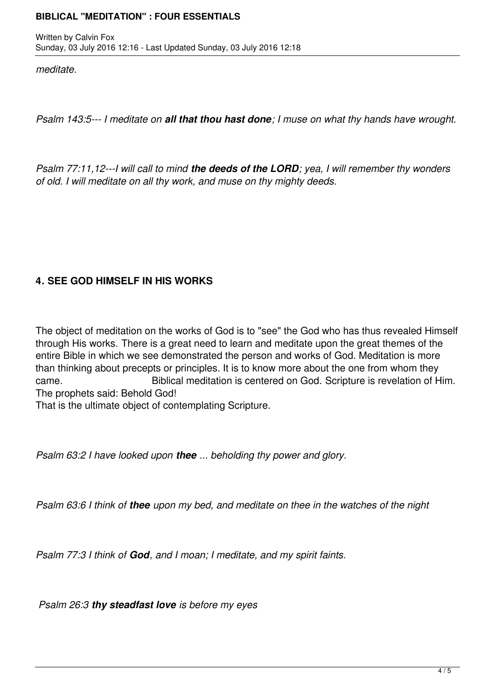*meditate.*

*Psalm 143:5--- I meditate on all that thou hast done; I muse on what thy hands have wrought.* 

*Psalm 77:11,12---I will call to mind the deeds of the LORD; yea, I will remember thy wonders of old. I will meditate on all thy work, and muse on thy mighty deeds.*

# **4***.* **SEE GOD HIMSELF IN HIS WORKS**

The object of meditation on the works of God is to "see" the God who has thus revealed Himself through His works. There is a great need to learn and meditate upon the great themes of the entire Bible in which we see demonstrated the person and works of God. Meditation is more than thinking about precepts or principles. It is to know more about the one from whom they came. Biblical meditation is centered on God. Scripture is revelation of Him. The prophets said: Behold God!

That is the ultimate object of contemplating Scripture.

*Psalm 63:2 I have looked upon thee ... beholding thy power and glory.* 

*Psalm 63:6 I think of thee upon my bed, and meditate on thee in the watches of the night* 

*Psalm 77:3 I think of God, and I moan; I meditate, and my spirit faints.*

*Psalm 26:3 thy steadfast love is before my eyes*